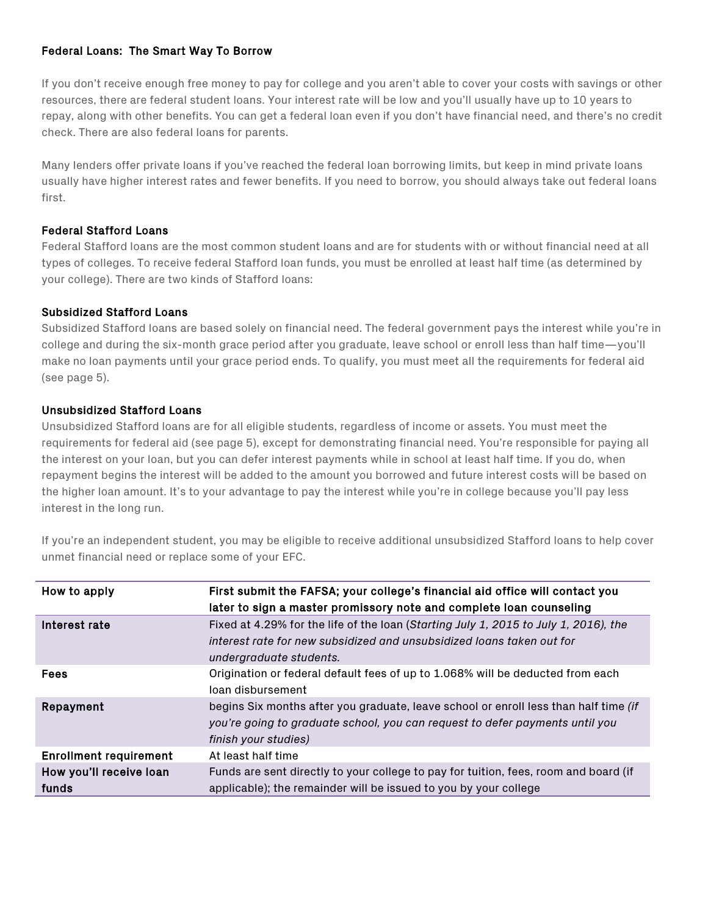# Federal Loans: The Smart Way To Borrow

If you don't receive enough free money to pay for college and you aren't able to cover your costs with savings or other resources, there are federal student loans. Your interest rate will be low and you'll usually have up to 10 years to repay, along with other benefits. You can get a federal loan even if you don't have financial need, and there's no credit check. There are also federal loans for parents.

Many lenders offer private loans if you've reached the federal loan borrowing limits, but keep in mind private loans usually have higher interest rates and fewer benefits. If you need to borrow, you should always take out federal loans first.

#### Federal Stafford Loans

Federal Stafford loans are the most common student loans and are for students with or without financial need at all types of colleges. To receive federal Stafford loan funds, you must be enrolled at least half time (as determined by your college). There are two kinds of Stafford loans:

## Subsidized Stafford Loans

Subsidized Stafford loans are based solely on financial need. The federal government pays the interest while you're in college and during the six-month grace period after you graduate, leave school or enroll less than half time—you'll make no loan payments until your grace period ends. To qualify, you must meet all the requirements for federal aid (see page 5).

## Unsubsidized Stafford Loans

Unsubsidized Stafford loans are for all eligible students, regardless of income or assets. You must meet the requirements for federal aid (see page 5), except for demonstrating financial need. You're responsible for paying all the interest on your loan, but you can defer interest payments while in school at least half time. If you do, when repayment begins the interest will be added to the amount you borrowed and future interest costs will be based on the higher loan amount. It's to your advantage to pay the interest while you're in college because you'll pay less interest in the long run.

If you're an independent student, you may be eligible to receive additional unsubsidized Stafford loans to help cover unmet financial need or replace some of your EFC.

| How to apply                     | First submit the FAFSA; your college's financial aid office will contact you<br>later to sign a master promissory note and complete loan counseling                                          |
|----------------------------------|----------------------------------------------------------------------------------------------------------------------------------------------------------------------------------------------|
| Interest rate                    | Fixed at 4.29% for the life of the loan (Starting July 1, 2015 to July 1, 2016), the<br>interest rate for new subsidized and unsubsidized loans taken out for<br>undergraduate students.     |
| <b>Fees</b>                      | Origination or federal default fees of up to 1.068% will be deducted from each<br>loan disbursement                                                                                          |
| Repayment                        | begins Six months after you graduate, leave school or enroll less than half time (if<br>you're going to graduate school, you can request to defer payments until you<br>finish your studies) |
| <b>Enrollment requirement</b>    | At least half time                                                                                                                                                                           |
| How you'll receive loan<br>funds | Funds are sent directly to your college to pay for tuition, fees, room and board (if<br>applicable); the remainder will be issued to you by your college                                     |